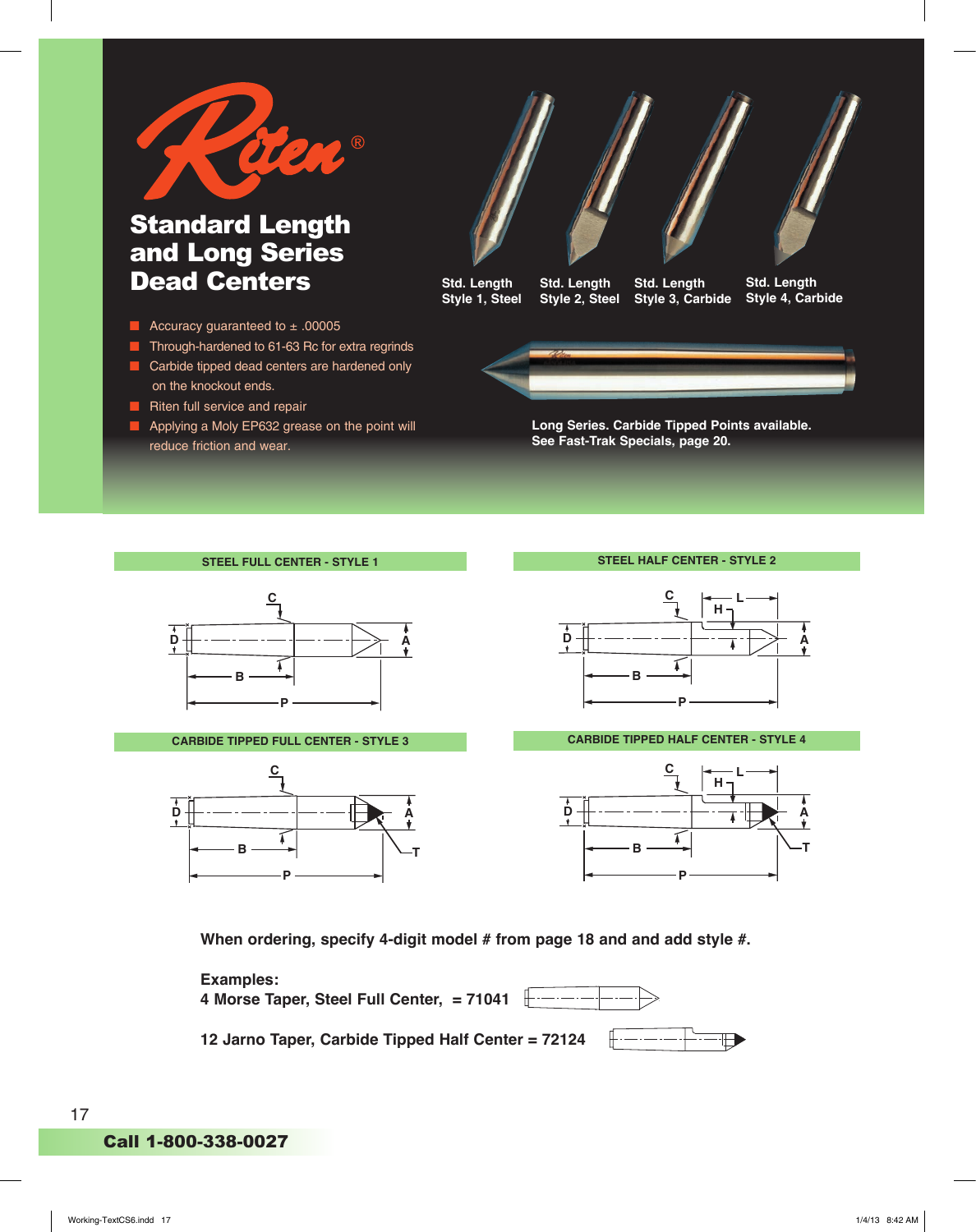

## Standard Length and Long Series Dead Centers

- Accuracy guaranteed to ± .00005
- Through-hardened to 61-63 Rc for extra regrinds
- Carbide tipped dead centers are hardened only on the knockout ends.
- Riten full service and repair
- Applying a Moly EP632 grease on the point will reduce friction and wear.



**Std. Length Style 1, Steel Std. Length Style 2, Steel Std. Length Style 3, Carbide Std. Length Style 4, Carbide**



**Long Series. Carbide Tipped Points available. See Fast-Trak Specials, page 20.**

|  |  |  | <b>STEEL FULL CENTER - STYLE 1</b> |
|--|--|--|------------------------------------|
|--|--|--|------------------------------------|







**CARBIDE TIPPED FULL CENTER - STYLE 3** CARBIDE TIPPED HALF CENTER - STYLE 4



When ordering, specify 4-digit model # from page 18 and and add style #.



**4 Morse Taper, Steel Full Center, = 71041 D**

**12 Jarno Taper, Carbide Tipped Half Center = 72124**